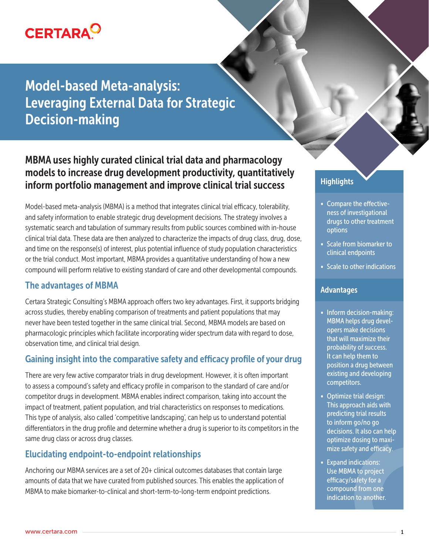

# Model-based Meta-analysis: Leveraging External Data for Strategic Decision-making

## MBMA uses highly curated clinical trial data and pharmacology models to increase drug development productivity, quantitatively inform portfolio management and improve clinical trial success

Model-based meta-analysis (MBMA) is a method that integrates clinical trial efficacy, tolerability, and safety information to enable strategic drug development decisions. The strategy involves a systematic search and tabulation of summary results from public sources combined with in-house clinical trial data. These data are then analyzed to characterize the impacts of drug class, drug, dose, and time on the response(s) of interest, plus potential influence of study population characteristics or the trial conduct. Most important, MBMA provides a quantitative understanding of how a new compound will perform relative to existing standard of care and other developmental compounds.

#### The advantages of MBMA

Certara Strategic Consulting's MBMA approach offers two key advantages. First, it supports bridging across studies, thereby enabling comparison of treatments and patient populations that may never have been tested together in the same clinical trial. Second, MBMA models are based on pharmacologic principles which facilitate incorporating wider spectrum data with regard to dose, observation time, and clinical trial design.

### Gaining insight into the comparative safety and efficacy profile of your drug

There are very few active comparator trials in drug development. However, it is often important to assess a compound's safety and efficacy profile in comparison to the standard of care and/or competitor drugs in development. MBMA enables indirect comparison, taking into account the impact of treatment, patient population, and trial characteristics on responses to medications. This type of analysis, also called 'competitive landscaping', can help us to understand potential differentiators in the drug profile and determine whether a drug is superior to its competitors in the same drug class or across drug classes.

### Elucidating endpoint-to-endpoint relationships

Anchoring our MBMA services are a set of 20+ clinical outcomes databases that contain large amounts of data that we have curated from published sources. This enables the application of MBMA to make biomarker-to-clinical and short-term-to-long-term endpoint predictions.

### **Highlights**

- Compare the effectiveness of investigational drugs to other treatment options
- Scale from biomarker to clinical endpoints
- Scale to other indications

#### Advantages

- Inform decision-making: MBMA helps drug developers make decisions that will maximize their probability of success. It can help them to position a drug between existing and developing competitors.
- Optimize trial design: This approach aids with predicting trial results to inform go/no go decisions. It also can help optimize dosing to maximize safety and efficacy.
- Expand indications: Use MBMA to project efficacy/safety for a compound from one indication to another.